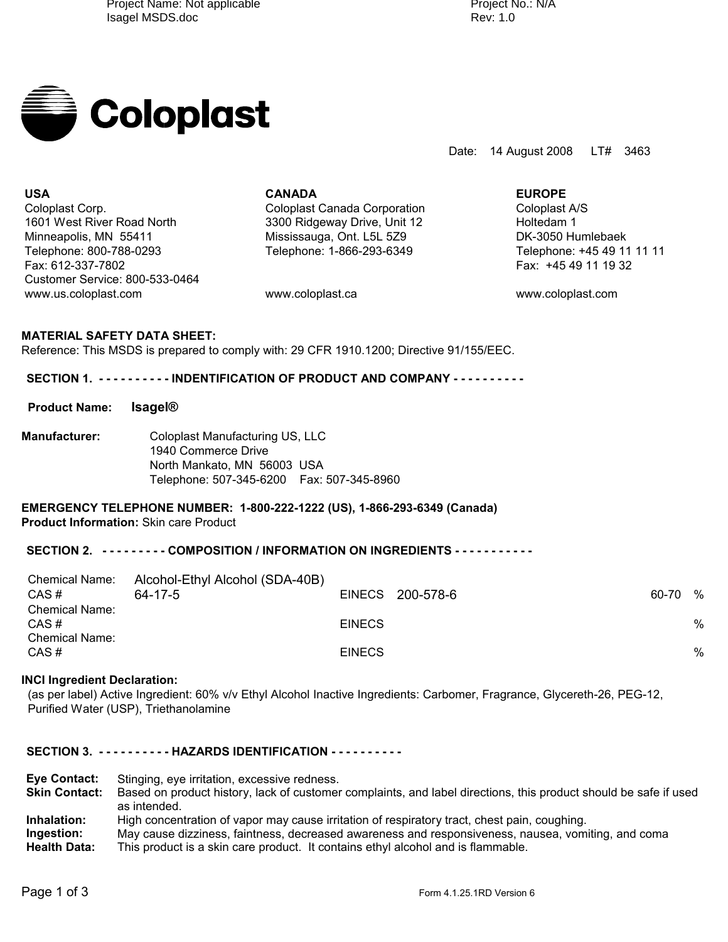Rev: Project No.: N/A



Date: 14 August 2008 LT# 3463

**USA CANADA EUROPE** Coloplast Corp. Coloplast Canada Corporation Coloplast A/S 1601 West River Road North 1601 Control 3300 Ridgeway Drive, Unit 12 Holtedam 1 Minneapolis, MN 55411 Mississauga, Ont. L5L 5Z9 DK-3050 Humlebaek Telephone: 800-788-0293 Telephone: 1-866-293-6349 Telephone: +45 49 11 11 11 Fax: 612-337-7802 Fax: +45 49 11 19 32 Customer Service: 800-533-0464 www.us.coloplast.com www.coloplast.ca www.coloplast.com

# **MATERIAL SAFETY DATA SHEET:**

Reference: This MSDS is prepared to comply with: 29 CFR 1910.1200; Directive 91/155/EEC.

### SECTION 1. ---------- INDENTIFICATION OF PRODUCT AND COMPANY ----------

**Product Name: Isagel®**

**Manufacturer:** Coloplast Manufacturing US, LLC 1940 Commerce Drive North Mankato, MN 56003 USA Telephone: 507-345-6200 Fax: 507-345-8960

### **EMERGENCY TELEPHONE NUMBER: 1-800-222-1222 (US), 1-866-293-6349 (Canada) Product Information:** Skin care Product

# SECTION 2. --------- COMPOSITION / INFORMATION ON INGREDIENTS -----------

| <b>Chemical Name:</b><br>CAS#                          | Alcohol-Ethyl Alcohol (SDA-40B)<br>64-17-5 |               | EINECS 200-578-6 | 60-70 % |   |
|--------------------------------------------------------|--------------------------------------------|---------------|------------------|---------|---|
| <b>Chemical Name:</b><br>CAS#<br><b>Chemical Name:</b> |                                            | <b>EINECS</b> |                  |         | % |
| CAS#                                                   |                                            | <b>EINECS</b> |                  |         | % |

### **INCI Ingredient Declaration:**

(as per label) Active Ingredient: 60% v/v Ethyl Alcohol Inactive Ingredients: Carbomer, Fragrance, Glycereth-26, PEG-12, Purified Water (USP), Triethanolamine

### **SECTION 3. - - - - - - - - - - HAZARDS IDENTIFICATION - - - - - - - - - -**

**Eye Contact:** Stinging, eye irritation, excessive redness. **Skin Contact:** Based on product history, lack of customer complaints, and label directions, this product should be safe if used as intended. Inhalation: High concentration of vapor may cause irritation of respiratory tract, chest pain, coughing.<br>Ingestion: May cause dizziness, faintness, decreased awareness and responsiveness, nausea, vom **Ingestion:** May cause dizziness, faintness, decreased awareness and responsiveness, nausea, vomiting, and coma<br>Health Data: This product is a skin care product. It contains ethyl alcohol and is flammable. This product is a skin care product. It contains ethyl alcohol and is flammable.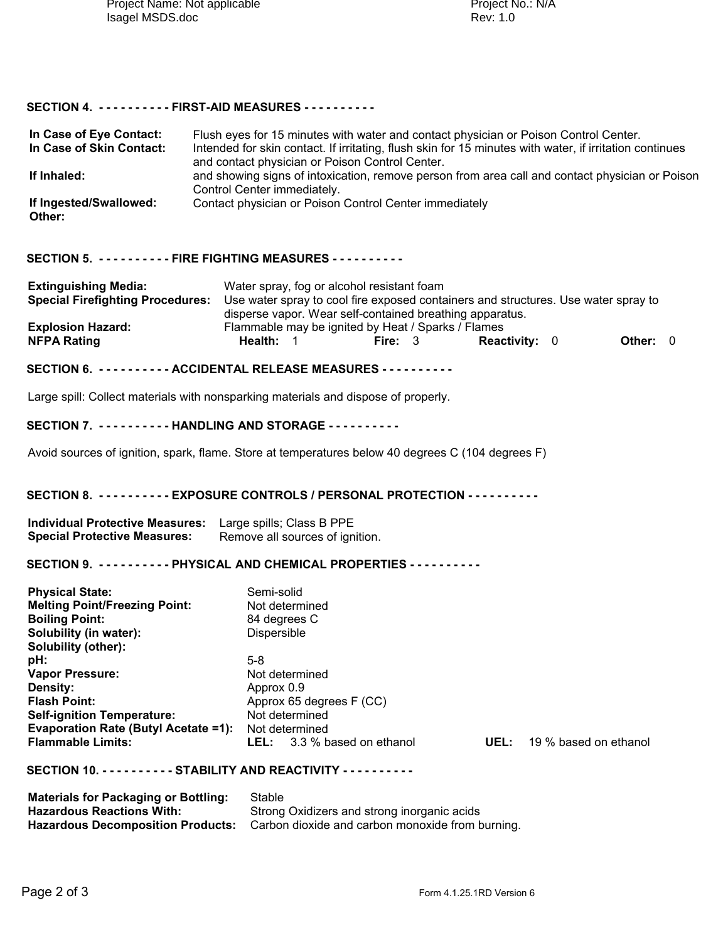# **SECTION 4. - - - - - - - - - - FIRST-AID MEASURES - - - - - - - - - -**

| In Case of Eye Contact:<br>In Case of Skin Contact:                                                                                                                                                                                                                                                                                 | Flush eyes for 15 minutes with water and contact physician or Poison Control Center.<br>Intended for skin contact. If irritating, flush skin for 15 minutes with water, if irritation continues<br>and contact physician or Poison Control Center. |                                                                                                                                                                                                                               |  |         |                      |  |                                   |          |  |
|-------------------------------------------------------------------------------------------------------------------------------------------------------------------------------------------------------------------------------------------------------------------------------------------------------------------------------------|----------------------------------------------------------------------------------------------------------------------------------------------------------------------------------------------------------------------------------------------------|-------------------------------------------------------------------------------------------------------------------------------------------------------------------------------------------------------------------------------|--|---------|----------------------|--|-----------------------------------|----------|--|
| If Inhaled:                                                                                                                                                                                                                                                                                                                         | and showing signs of intoxication, remove person from area call and contact physician or Poison<br>Control Center immediately.                                                                                                                     |                                                                                                                                                                                                                               |  |         |                      |  |                                   |          |  |
| If Ingested/Swallowed:<br>Other:                                                                                                                                                                                                                                                                                                    |                                                                                                                                                                                                                                                    | Contact physician or Poison Control Center immediately                                                                                                                                                                        |  |         |                      |  |                                   |          |  |
| SECTION 5. - - - - - - - - - - FIRE FIGHTING MEASURES - - - - - - - - - -                                                                                                                                                                                                                                                           |                                                                                                                                                                                                                                                    |                                                                                                                                                                                                                               |  |         |                      |  |                                   |          |  |
| <b>Extinguishing Media:</b>                                                                                                                                                                                                                                                                                                         |                                                                                                                                                                                                                                                    | Water spray, fog or alcohol resistant foam<br>Special Firefighting Procedures: Use water spray to cool fire exposed containers and structures. Use water spray to<br>disperse vapor. Wear self-contained breathing apparatus. |  |         |                      |  |                                   |          |  |
| <b>Explosion Hazard:</b><br><b>NFPA Rating</b>                                                                                                                                                                                                                                                                                      |                                                                                                                                                                                                                                                    | Flammable may be ignited by Heat / Sparks / Flames<br>Health: 1                                                                                                                                                               |  | Fire: 3 | <b>Reactivity: 0</b> |  |                                   | Other: 0 |  |
| SECTION 6. - - - - - - - - - - ACCIDENTAL RELEASE MEASURES - - - - - - - - - -                                                                                                                                                                                                                                                      |                                                                                                                                                                                                                                                    |                                                                                                                                                                                                                               |  |         |                      |  |                                   |          |  |
| Large spill: Collect materials with nonsparking materials and dispose of properly.                                                                                                                                                                                                                                                  |                                                                                                                                                                                                                                                    |                                                                                                                                                                                                                               |  |         |                      |  |                                   |          |  |
| SECTION 7. - - - - - - - - - - HANDLING AND STORAGE - - - - - - - - - -                                                                                                                                                                                                                                                             |                                                                                                                                                                                                                                                    |                                                                                                                                                                                                                               |  |         |                      |  |                                   |          |  |
| Avoid sources of ignition, spark, flame. Store at temperatures below 40 degrees C (104 degrees F)                                                                                                                                                                                                                                   |                                                                                                                                                                                                                                                    |                                                                                                                                                                                                                               |  |         |                      |  |                                   |          |  |
| SECTION 8. ---------- EXPOSURE CONTROLS / PERSONAL PROTECTION - - - - - - - - - -                                                                                                                                                                                                                                                   |                                                                                                                                                                                                                                                    |                                                                                                                                                                                                                               |  |         |                      |  |                                   |          |  |
| Individual Protective Measures: Large spills; Class B PPE<br><b>Special Protective Measures:</b>                                                                                                                                                                                                                                    |                                                                                                                                                                                                                                                    | Remove all sources of ignition.                                                                                                                                                                                               |  |         |                      |  |                                   |          |  |
| SECTION 9. ---------- PHYSICAL AND CHEMICAL PROPERTIES ----------                                                                                                                                                                                                                                                                   |                                                                                                                                                                                                                                                    |                                                                                                                                                                                                                               |  |         |                      |  |                                   |          |  |
| <b>Physical State:</b><br><b>Melting Point/Freezing Point:</b><br><b>Boiling Point:</b><br>Solubility (in water):<br><b>Solubility (other):</b><br>pH:<br><b>Vapor Pressure:</b><br>Density:<br><b>Flash Point:</b><br><b>Self-ignition Temperature:</b><br><b>Evaporation Rate (Butyl Acetate =1):</b><br><b>Flammable Limits:</b> |                                                                                                                                                                                                                                                    | Semi-solid<br>Not determined<br>84 degrees C<br>Dispersible<br>$5-8$<br>Not determined<br>Approx 0.9<br>Approx 65 degrees F (CC)<br>Not determined<br>Not determined<br><b>LEL:</b> 3.3 % based on ethanol                    |  |         |                      |  | <b>UEL:</b> 19 % based on ethanol |          |  |
| SECTION 10. - - - - - - - - - - STABILITY AND REACTIVITY - - - - - - - - - -                                                                                                                                                                                                                                                        |                                                                                                                                                                                                                                                    |                                                                                                                                                                                                                               |  |         |                      |  |                                   |          |  |
| Materials for Packaging or Bottling: Stable                                                                                                                                                                                                                                                                                         |                                                                                                                                                                                                                                                    |                                                                                                                                                                                                                               |  |         |                      |  |                                   |          |  |

| <b>Materials for Packaging or Bottling:</b> | Stable                                           |
|---------------------------------------------|--------------------------------------------------|
| Hazardous Reactions With:                   | Strong Oxidizers and strong inorganic acids      |
| <b>Hazardous Decomposition Products:</b>    | Carbon dioxide and carbon monoxide from burning. |